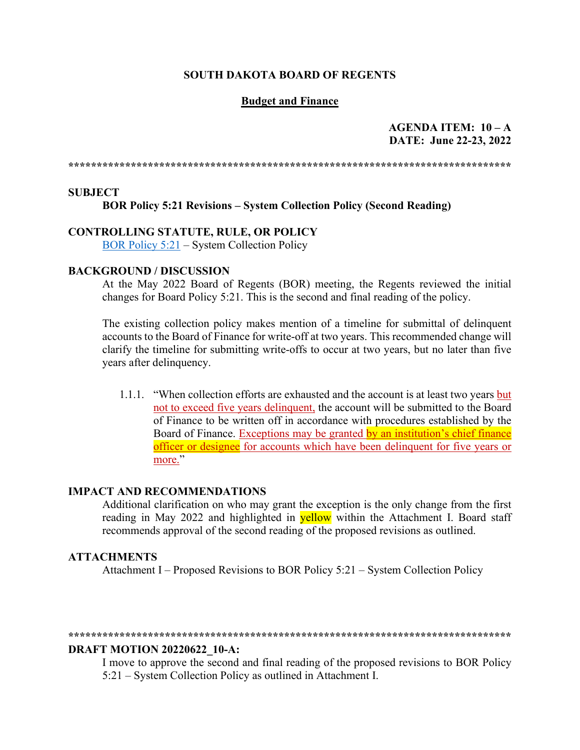#### **SOUTH DAKOTA BOARD OF REGENTS**

#### **Budget and Finance**

### $AGENDA$  ITEM:  $10 - A$ DATE: June 22-23, 2022

#### **SUBJECT**

#### **BOR Policy 5:21 Revisions - System Collection Policy (Second Reading)**

## **CONTROLLING STATUTE, RULE, OR POLICY**

BOR Policy 5:21 – System Collection Policy

#### **BACKGROUND / DISCUSSION**

At the May 2022 Board of Regents (BOR) meeting, the Regents reviewed the initial changes for Board Policy 5:21. This is the second and final reading of the policy.

The existing collection policy makes mention of a timeline for submittal of delinquent accounts to the Board of Finance for write-off at two years. This recommended change will clarify the timeline for submitting write-offs to occur at two years, but no later than five years after delinquency.

1.1.1. "When collection efforts are exhausted and the account is at least two years but not to exceed five years delinguent, the account will be submitted to the Board of Finance to be written off in accordance with procedures established by the Board of Finance. Exceptions may be granted by an institution's chief finance officer or designee for accounts which have been delinquent for five years or more."

#### **IMPACT AND RECOMMENDATIONS**

Additional clarification on who may grant the exception is the only change from the first reading in May 2022 and highlighted in **yellow** within the Attachment I. Board staff recommends approval of the second reading of the proposed revisions as outlined.

#### **ATTACHMENTS**

Attachment I – Proposed Revisions to BOR Policy 5:21 – System Collection Policy

#### 

#### **DRAFT MOTION 20220622 10-A:**

I move to approve the second and final reading of the proposed revisions to BOR Policy 5:21 – System Collection Policy as outlined in Attachment I.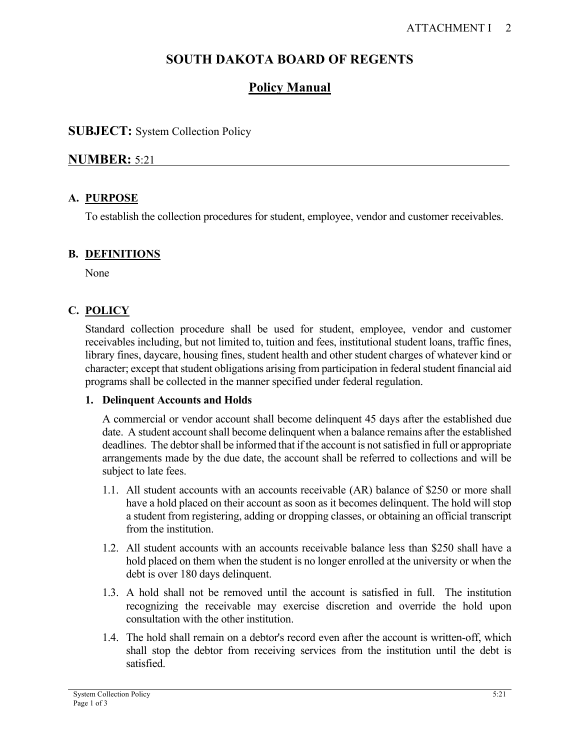# **SOUTH DAKOTA BOARD OF REGENTS**

# **Policy Manual**

## **SUBJECT:** System Collection Policy

# **NUMBER:** 5:21

## **A. PURPOSE**

To establish the collection procedures for student, employee, vendor and customer receivables.

## **B. DEFINITIONS**

None

# **C. POLICY**

Standard collection procedure shall be used for student, employee, vendor and customer receivables including, but not limited to, tuition and fees, institutional student loans, traffic fines, library fines, daycare, housing fines, student health and other student charges of whatever kind or character; except that student obligations arising from participation in federal student financial aid programs shall be collected in the manner specified under federal regulation.

## **1. Delinquent Accounts and Holds**

A commercial or vendor account shall become delinquent 45 days after the established due date. A student account shall become delinquent when a balance remains after the established deadlines. The debtor shall be informed that if the account is not satisfied in full or appropriate arrangements made by the due date, the account shall be referred to collections and will be subject to late fees.

- 1.1. All student accounts with an accounts receivable (AR) balance of \$250 or more shall have a hold placed on their account as soon as it becomes delinquent. The hold will stop a student from registering, adding or dropping classes, or obtaining an official transcript from the institution.
- 1.2. All student accounts with an accounts receivable balance less than \$250 shall have a hold placed on them when the student is no longer enrolled at the university or when the debt is over 180 days delinquent.
- 1.3. A hold shall not be removed until the account is satisfied in full. The institution recognizing the receivable may exercise discretion and override the hold upon consultation with the other institution.
- 1.4. The hold shall remain on a debtor's record even after the account is written-off, which shall stop the debtor from receiving services from the institution until the debt is satisfied.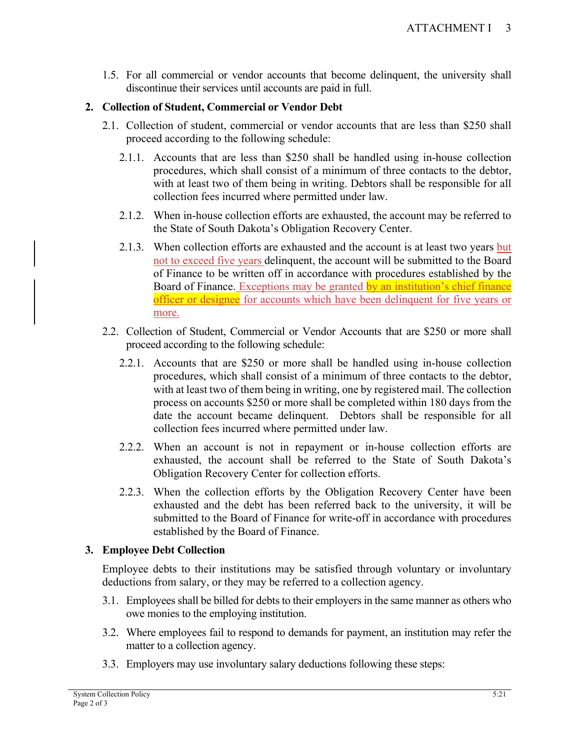1.5. For all commercial or vendor accounts that become delinquent, the university shall discontinue their services until accounts are paid in full.

### **2. Collection of Student, Commercial or Vendor Debt**

- 2.1. Collection of student, commercial or vendor accounts that are less than \$250 shall proceed according to the following schedule:
	- 2.1.1. Accounts that are less than \$250 shall be handled using in-house collection procedures, which shall consist of a minimum of three contacts to the debtor, with at least two of them being in writing. Debtors shall be responsible for all collection fees incurred where permitted under law.
	- 2.1.2. When in-house collection efforts are exhausted, the account may be referred to the State of South Dakota's Obligation Recovery Center.
	- 2.1.3. When collection efforts are exhausted and the account is at least two years but not to exceed five years delinquent, the account will be submitted to the Board of Finance to be written off in accordance with procedures established by the Board of Finance. Exceptions may be granted by an institution's chief finance officer or designee for accounts which have been delinquent for five years or more.
- 2.2. Collection of Student, Commercial or Vendor Accounts that are \$250 or more shall proceed according to the following schedule:
	- 2.2.1. Accounts that are \$250 or more shall be handled using in-house collection procedures, which shall consist of a minimum of three contacts to the debtor, with at least two of them being in writing, one by registered mail. The collection process on accounts \$250 or more shall be completed within 180 days from the date the account became delinquent. Debtors shall be responsible for all collection fees incurred where permitted under law.
	- 2.2.2. When an account is not in repayment or in-house collection efforts are exhausted, the account shall be referred to the State of South Dakota's Obligation Recovery Center for collection efforts.
	- 2.2.3. When the collection efforts by the Obligation Recovery Center have been exhausted and the debt has been referred back to the university, it will be submitted to the Board of Finance for write-off in accordance with procedures established by the Board of Finance.

### **3. Employee Debt Collection**

Employee debts to their institutions may be satisfied through voluntary or involuntary deductions from salary, or they may be referred to a collection agency.

- 3.1. Employees shall be billed for debts to their employers in the same manner as others who owe monies to the employing institution.
- 3.2. Where employees fail to respond to demands for payment, an institution may refer the matter to a collection agency.
- 3.3. Employers may use involuntary salary deductions following these steps: